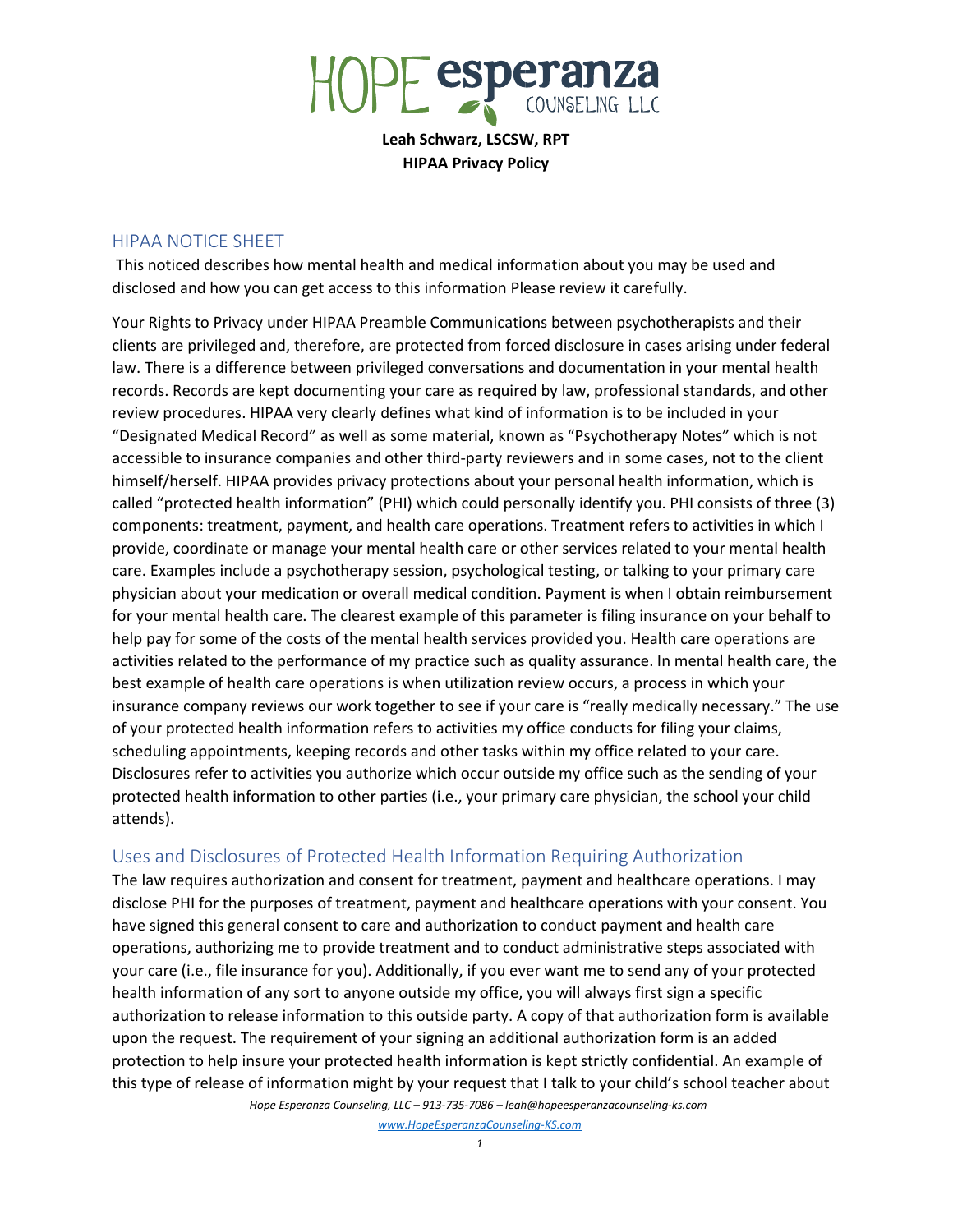

Leah Schwarz, LSCSW, RPT HIPAA Privacy Policy

# HIPAA NOTICE SHEET

 This noticed describes how mental health and medical information about you may be used and disclosed and how you can get access to this information Please review it carefully.

Your Rights to Privacy under HIPAA Preamble Communications between psychotherapists and their clients are privileged and, therefore, are protected from forced disclosure in cases arising under federal law. There is a difference between privileged conversations and documentation in your mental health records. Records are kept documenting your care as required by law, professional standards, and other review procedures. HIPAA very clearly defines what kind of information is to be included in your "Designated Medical Record" as well as some material, known as "Psychotherapy Notes" which is not accessible to insurance companies and other third-party reviewers and in some cases, not to the client himself/herself. HIPAA provides privacy protections about your personal health information, which is called "protected health information" (PHI) which could personally identify you. PHI consists of three (3) components: treatment, payment, and health care operations. Treatment refers to activities in which I provide, coordinate or manage your mental health care or other services related to your mental health care. Examples include a psychotherapy session, psychological testing, or talking to your primary care physician about your medication or overall medical condition. Payment is when I obtain reimbursement for your mental health care. The clearest example of this parameter is filing insurance on your behalf to help pay for some of the costs of the mental health services provided you. Health care operations are activities related to the performance of my practice such as quality assurance. In mental health care, the best example of health care operations is when utilization review occurs, a process in which your insurance company reviews our work together to see if your care is "really medically necessary." The use of your protected health information refers to activities my office conducts for filing your claims, scheduling appointments, keeping records and other tasks within my office related to your care. Disclosures refer to activities you authorize which occur outside my office such as the sending of your protected health information to other parties (i.e., your primary care physician, the school your child attends).

# Uses and Disclosures of Protected Health Information Requiring Authorization

The law requires authorization and consent for treatment, payment and healthcare operations. I may disclose PHI for the purposes of treatment, payment and healthcare operations with your consent. You have signed this general consent to care and authorization to conduct payment and health care operations, authorizing me to provide treatment and to conduct administrative steps associated with your care (i.e., file insurance for you). Additionally, if you ever want me to send any of your protected health information of any sort to anyone outside my office, you will always first sign a specific authorization to release information to this outside party. A copy of that authorization form is available upon the request. The requirement of your signing an additional authorization form is an added protection to help insure your protected health information is kept strictly confidential. An example of this type of release of information might by your request that I talk to your child's school teacher about

Hope Esperanza Counseling, LLC – 913-735-7086 – leah@hopeesperanzacounseling-ks.com www.HopeEsperanzaCounseling-KS.com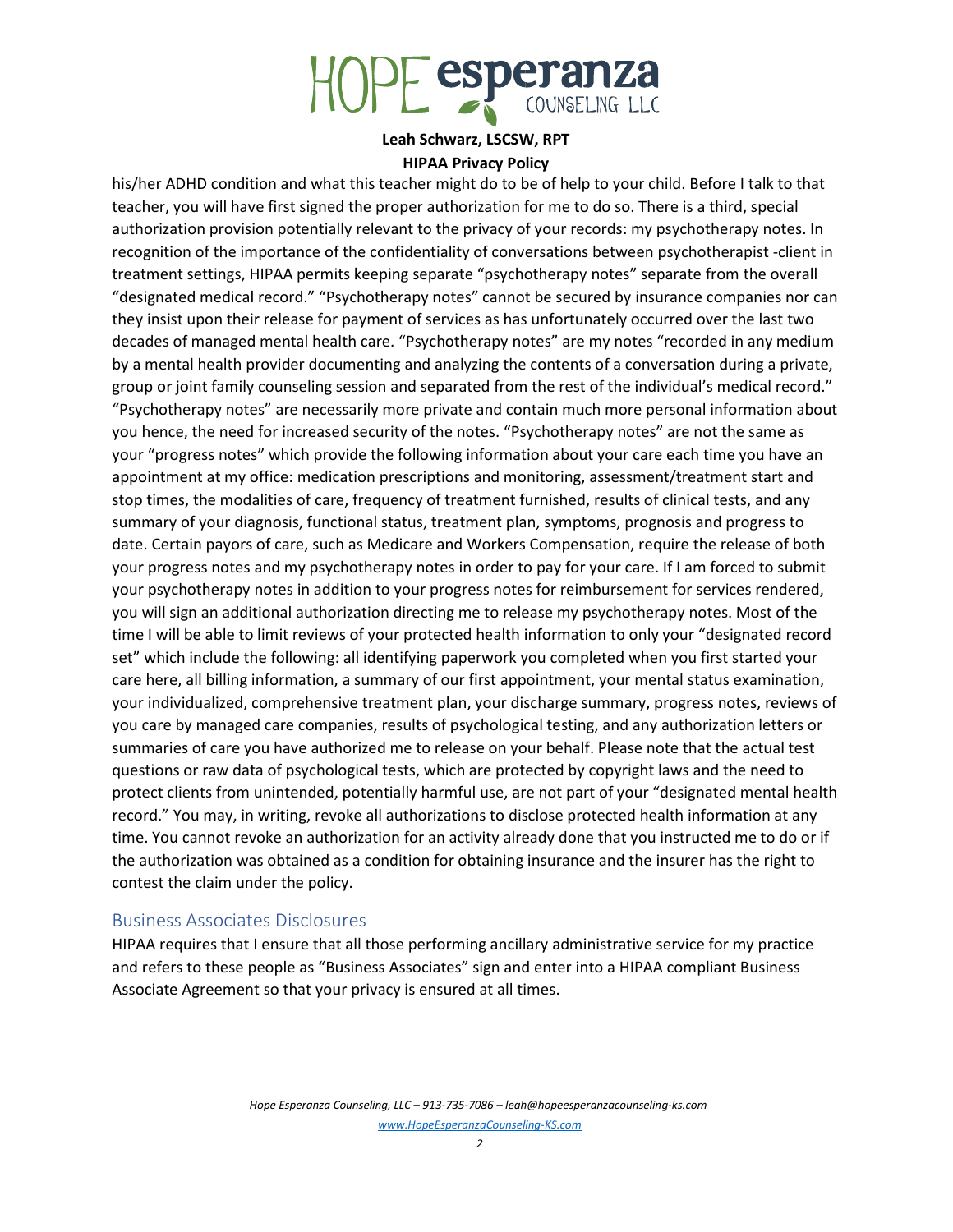

#### HIPAA Privacy Policy

his/her ADHD condition and what this teacher might do to be of help to your child. Before I talk to that teacher, you will have first signed the proper authorization for me to do so. There is a third, special authorization provision potentially relevant to the privacy of your records: my psychotherapy notes. In recognition of the importance of the confidentiality of conversations between psychotherapist -client in treatment settings, HIPAA permits keeping separate "psychotherapy notes" separate from the overall "designated medical record." "Psychotherapy notes" cannot be secured by insurance companies nor can they insist upon their release for payment of services as has unfortunately occurred over the last two decades of managed mental health care. "Psychotherapy notes" are my notes "recorded in any medium by a mental health provider documenting and analyzing the contents of a conversation during a private, group or joint family counseling session and separated from the rest of the individual's medical record." "Psychotherapy notes" are necessarily more private and contain much more personal information about you hence, the need for increased security of the notes. "Psychotherapy notes" are not the same as your "progress notes" which provide the following information about your care each time you have an appointment at my office: medication prescriptions and monitoring, assessment/treatment start and stop times, the modalities of care, frequency of treatment furnished, results of clinical tests, and any summary of your diagnosis, functional status, treatment plan, symptoms, prognosis and progress to date. Certain payors of care, such as Medicare and Workers Compensation, require the release of both your progress notes and my psychotherapy notes in order to pay for your care. If I am forced to submit your psychotherapy notes in addition to your progress notes for reimbursement for services rendered, you will sign an additional authorization directing me to release my psychotherapy notes. Most of the time I will be able to limit reviews of your protected health information to only your "designated record set" which include the following: all identifying paperwork you completed when you first started your care here, all billing information, a summary of our first appointment, your mental status examination, your individualized, comprehensive treatment plan, your discharge summary, progress notes, reviews of you care by managed care companies, results of psychological testing, and any authorization letters or summaries of care you have authorized me to release on your behalf. Please note that the actual test questions or raw data of psychological tests, which are protected by copyright laws and the need to protect clients from unintended, potentially harmful use, are not part of your "designated mental health record." You may, in writing, revoke all authorizations to disclose protected health information at any time. You cannot revoke an authorization for an activity already done that you instructed me to do or if the authorization was obtained as a condition for obtaining insurance and the insurer has the right to contest the claim under the policy.

## Business Associates Disclosures

HIPAA requires that I ensure that all those performing ancillary administrative service for my practice and refers to these people as "Business Associates" sign and enter into a HIPAA compliant Business Associate Agreement so that your privacy is ensured at all times.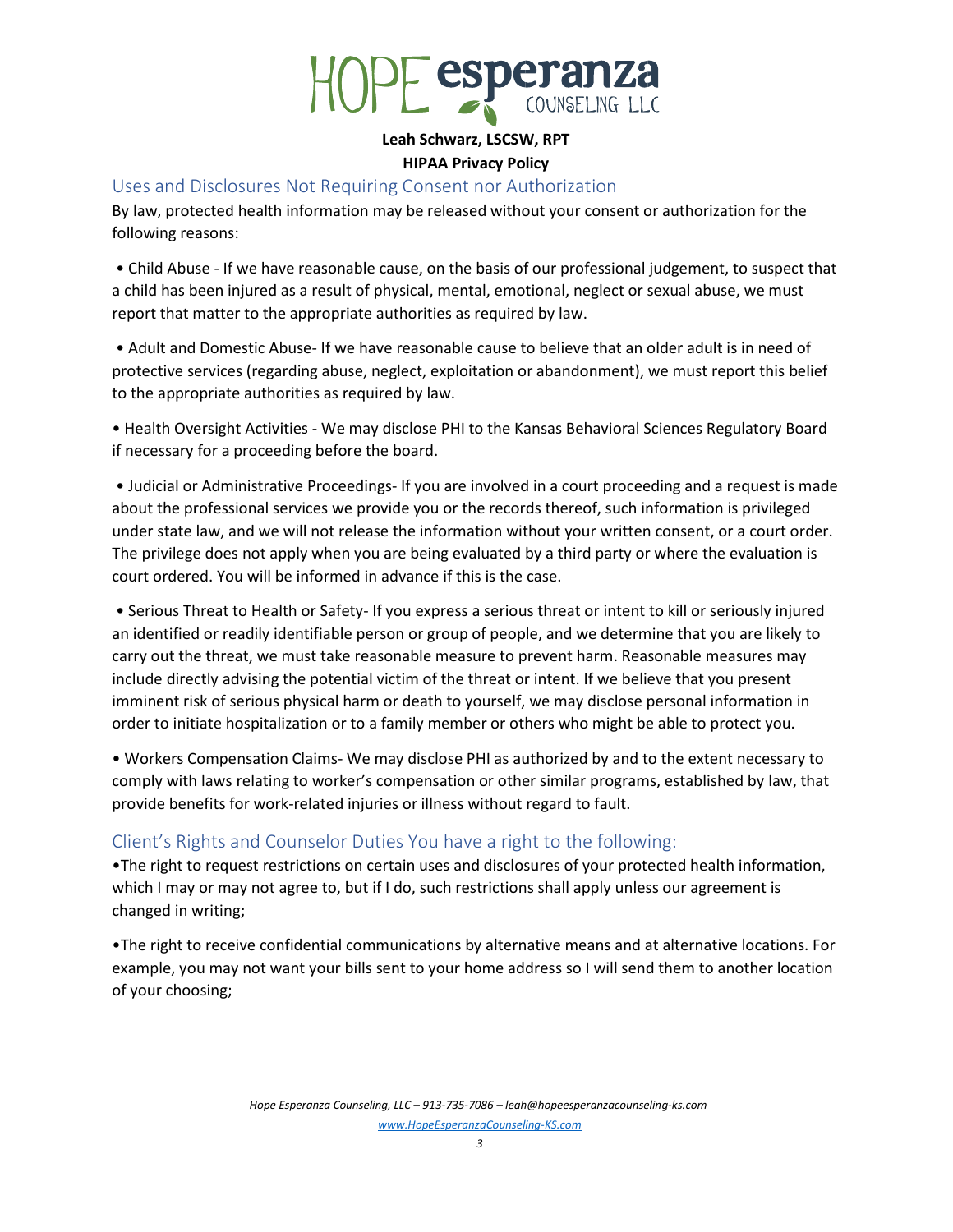

### HIPAA Privacy Policy

# Uses and Disclosures Not Requiring Consent nor Authorization

By law, protected health information may be released without your consent or authorization for the following reasons:

 • Child Abuse - If we have reasonable cause, on the basis of our professional judgement, to suspect that a child has been injured as a result of physical, mental, emotional, neglect or sexual abuse, we must report that matter to the appropriate authorities as required by law.

 • Adult and Domestic Abuse- If we have reasonable cause to believe that an older adult is in need of protective services (regarding abuse, neglect, exploitation or abandonment), we must report this belief to the appropriate authorities as required by law.

• Health Oversight Activities - We may disclose PHI to the Kansas Behavioral Sciences Regulatory Board if necessary for a proceeding before the board.

 • Judicial or Administrative Proceedings- If you are involved in a court proceeding and a request is made about the professional services we provide you or the records thereof, such information is privileged under state law, and we will not release the information without your written consent, or a court order. The privilege does not apply when you are being evaluated by a third party or where the evaluation is court ordered. You will be informed in advance if this is the case.

 • Serious Threat to Health or Safety- If you express a serious threat or intent to kill or seriously injured an identified or readily identifiable person or group of people, and we determine that you are likely to carry out the threat, we must take reasonable measure to prevent harm. Reasonable measures may include directly advising the potential victim of the threat or intent. If we believe that you present imminent risk of serious physical harm or death to yourself, we may disclose personal information in order to initiate hospitalization or to a family member or others who might be able to protect you.

• Workers Compensation Claims- We may disclose PHI as authorized by and to the extent necessary to comply with laws relating to worker's compensation or other similar programs, established by law, that provide benefits for work-related injuries or illness without regard to fault.

# Client's Rights and Counselor Duties You have a right to the following:

•The right to request restrictions on certain uses and disclosures of your protected health information, which I may or may not agree to, but if I do, such restrictions shall apply unless our agreement is changed in writing;

•The right to receive confidential communications by alternative means and at alternative locations. For example, you may not want your bills sent to your home address so I will send them to another location of your choosing;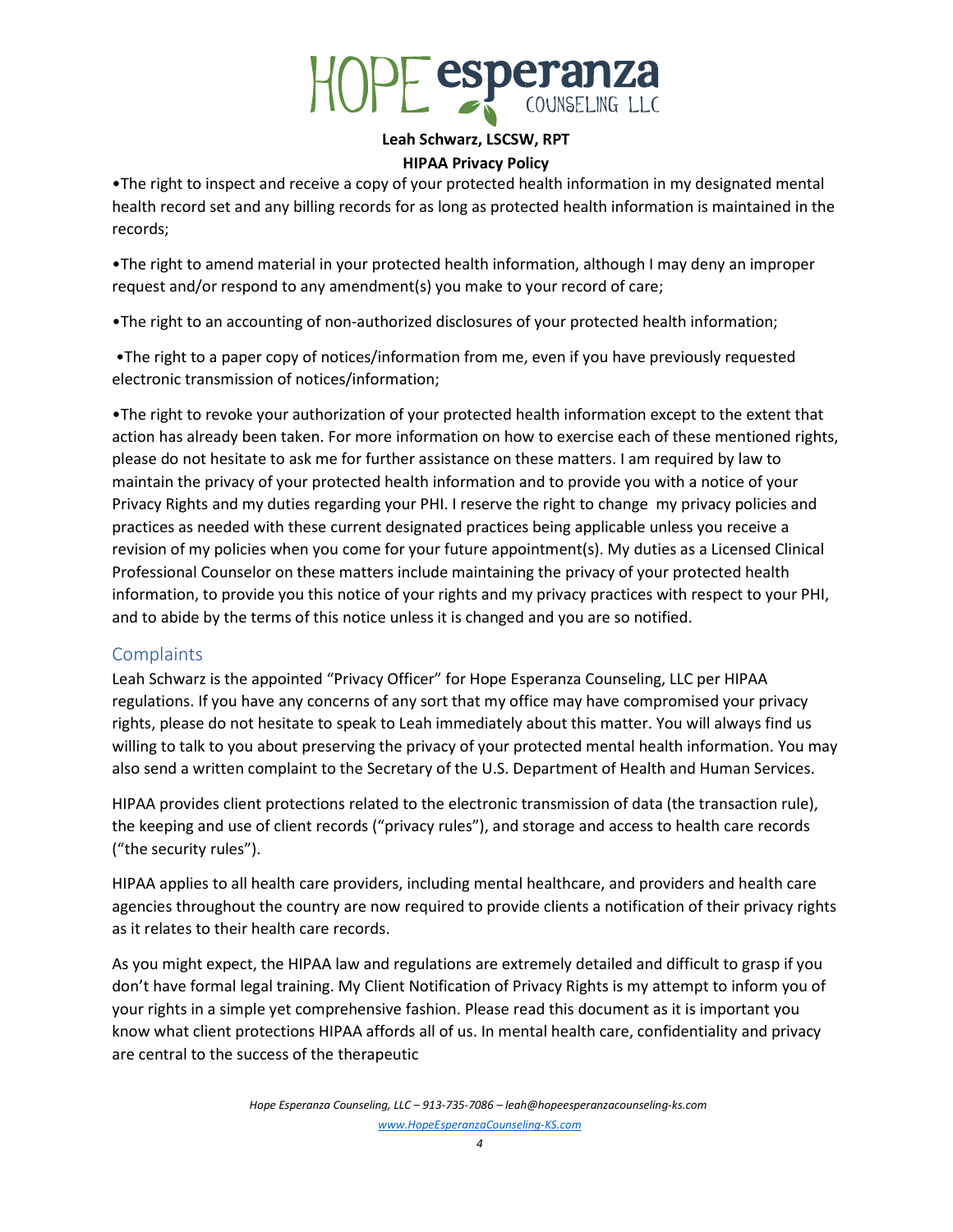

## HIPAA Privacy Policy

•The right to inspect and receive a copy of your protected health information in my designated mental health record set and any billing records for as long as protected health information is maintained in the records;

•The right to amend material in your protected health information, although I may deny an improper request and/or respond to any amendment(s) you make to your record of care;

•The right to an accounting of non-authorized disclosures of your protected health information;

 •The right to a paper copy of notices/information from me, even if you have previously requested electronic transmission of notices/information;

•The right to revoke your authorization of your protected health information except to the extent that action has already been taken. For more information on how to exercise each of these mentioned rights, please do not hesitate to ask me for further assistance on these matters. I am required by law to maintain the privacy of your protected health information and to provide you with a notice of your Privacy Rights and my duties regarding your PHI. I reserve the right to change my privacy policies and practices as needed with these current designated practices being applicable unless you receive a revision of my policies when you come for your future appointment(s). My duties as a Licensed Clinical Professional Counselor on these matters include maintaining the privacy of your protected health information, to provide you this notice of your rights and my privacy practices with respect to your PHI, and to abide by the terms of this notice unless it is changed and you are so notified.

# **Complaints**

Leah Schwarz is the appointed "Privacy Officer" for Hope Esperanza Counseling, LLC per HIPAA regulations. If you have any concerns of any sort that my office may have compromised your privacy rights, please do not hesitate to speak to Leah immediately about this matter. You will always find us willing to talk to you about preserving the privacy of your protected mental health information. You may also send a written complaint to the Secretary of the U.S. Department of Health and Human Services.

HIPAA provides client protections related to the electronic transmission of data (the transaction rule), the keeping and use of client records ("privacy rules"), and storage and access to health care records ("the security rules").

HIPAA applies to all health care providers, including mental healthcare, and providers and health care agencies throughout the country are now required to provide clients a notification of their privacy rights as it relates to their health care records.

As you might expect, the HIPAA law and regulations are extremely detailed and difficult to grasp if you don't have formal legal training. My Client Notification of Privacy Rights is my attempt to inform you of your rights in a simple yet comprehensive fashion. Please read this document as it is important you know what client protections HIPAA affords all of us. In mental health care, confidentiality and privacy are central to the success of the therapeutic